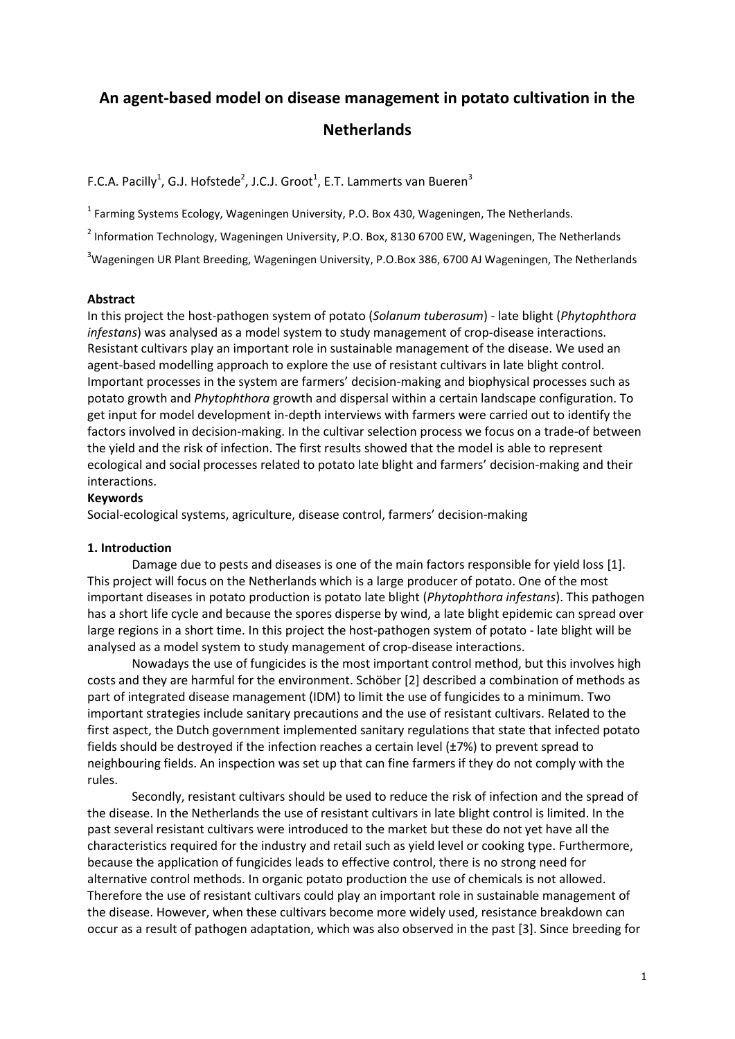# **An agent-based model on disease management in potato cultivation in the Netherlands**

F.C.A. Pacilly<sup>1</sup>, G.J. Hofstede<sup>2</sup>, J.C.J. Groot<sup>1</sup>, E.T. Lammerts van Bueren<sup>3</sup>

<sup>1</sup> Farming Systems Ecology, Wageningen University, P.O. Box 430, Wageningen, The Netherlands.

 $^{2}$  Information Technology, Wageningen University, P.O. Box, 8130 6700 EW, Wageningen, The Netherlands

<sup>3</sup>Wageningen UR Plant Breeding, Wageningen University, P.O.Box 386, 6700 AJ Wageningen, The Netherlands

# **Abstract**

In this project the host-pathogen system of potato (*Solanum tuberosum*) - late blight (*Phytophthora infestans*) was analysed as a model system to study management of crop-disease interactions. Resistant cultivars play an important role in sustainable management of the disease. We used an agent-based modelling approach to explore the use of resistant cultivars in late blight control. Important processes in the system are farmers' decision-making and biophysical processes such as potato growth and *Phytophthora* growth and dispersal within a certain landscape configuration. To get input for model development in-depth interviews with farmers were carried out to identify the factors involved in decision-making. In the cultivar selection process we focus on a trade-of between the yield and the risk of infection. The first results showed that the model is able to represent ecological and social processes related to potato late blight and farmers' decision-making and their interactions.

## **Keywords**

Social-ecological systems, agriculture, disease control, farmers' decision-making

# **1. Introduction**

Damage due to pests and diseases is one of the main factors responsible for yield loss [1]. This project will focus on the Netherlands which is a large producer of potato. One of the most important diseases in potato production is potato late blight (*Phytophthora infestans*). This pathogen has a short life cycle and because the spores disperse by wind, a late blight epidemic can spread over large regions in a short time. In this project the host-pathogen system of potato - late blight will be analysed as a model system to study management of crop-disease interactions.

Nowadays the use of fungicides is the most important control method, but this involves high costs and they are harmful for the environment. Schöber [2] described a combination of methods as part of integrated disease management (IDM) to limit the use of fungicides to a minimum. Two important strategies include sanitary precautions and the use of resistant cultivars. Related to the first aspect, the Dutch government implemented sanitary regulations that state that infected potato fields should be destroyed if the infection reaches a certain level  $(\pm 7%)$  to prevent spread to neighbouring fields. An inspection was set up that can fine farmers if they do not comply with the rules.

Secondly, resistant cultivars should be used to reduce the risk of infection and the spread of the disease. In the Netherlands the use of resistant cultivars in late blight control is limited. In the past several resistant cultivars were introduced to the market but these do not yet have all the characteristics required for the industry and retail such as yield level or cooking type. Furthermore, because the application of fungicides leads to effective control, there is no strong need for alternative control methods. In organic potato production the use of chemicals is not allowed. Therefore the use of resistant cultivars could play an important role in sustainable management of the disease. However, when these cultivars become more widely used, resistance breakdown can occur as a result of pathogen adaptation, which was also observed in the past [3]. Since breeding for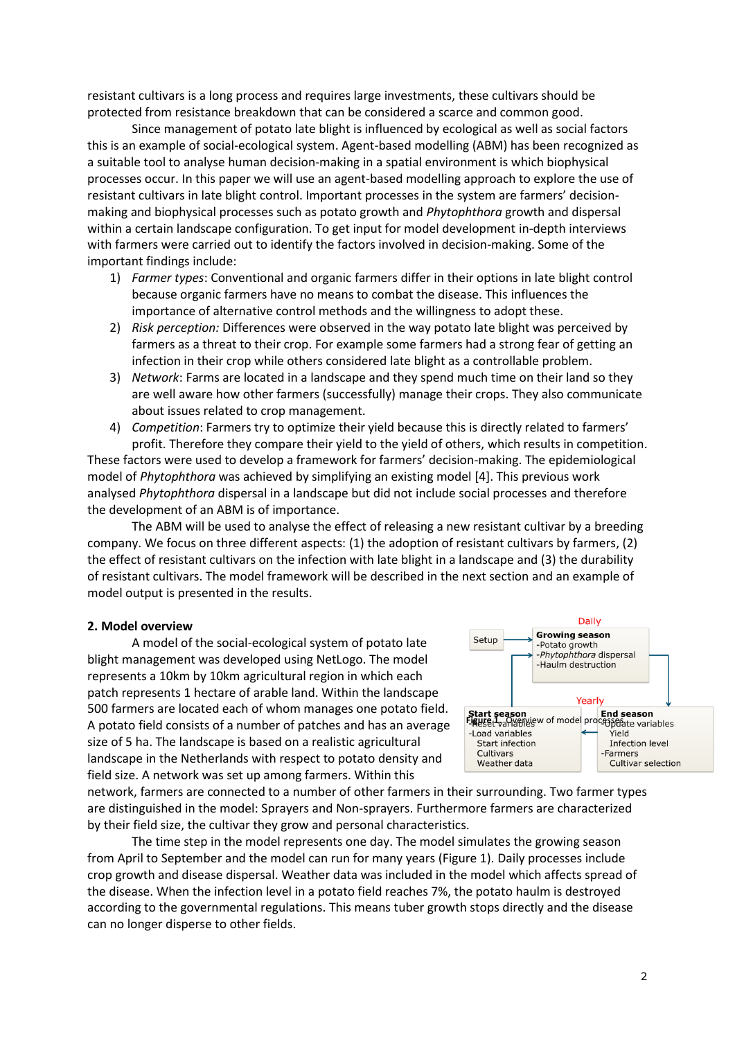resistant cultivars is a long process and requires large investments, these cultivars should be protected from resistance breakdown that can be considered a scarce and common good.

Since management of potato late blight is influenced by ecological as well as social factors this is an example of social-ecological system. Agent-based modelling (ABM) has been recognized as a suitable tool to analyse human decision-making in a spatial environment is which biophysical processes occur. In this paper we will use an agent-based modelling approach to explore the use of resistant cultivars in late blight control. Important processes in the system are farmers' decisionmaking and biophysical processes such as potato growth and *Phytophthora* growth and dispersal within a certain landscape configuration. To get input for model development in-depth interviews with farmers were carried out to identify the factors involved in decision-making. Some of the important findings include:

- 1) *Farmer types*: Conventional and organic farmers differ in their options in late blight control because organic farmers have no means to combat the disease. This influences the importance of alternative control methods and the willingness to adopt these.
- 2) *Risk perception:* Differences were observed in the way potato late blight was perceived by farmers as a threat to their crop. For example some farmers had a strong fear of getting an infection in their crop while others considered late blight as a controllable problem.
- 3) *Network*: Farms are located in a landscape and they spend much time on their land so they are well aware how other farmers (successfully) manage their crops. They also communicate about issues related to crop management.
- 4) *Competition*: Farmers try to optimize their yield because this is directly related to farmers' profit. Therefore they compare their yield to the yield of others, which results in competition.

These factors were used to develop a framework for farmers' decision-making. The epidemiological model of *Phytophthora* was achieved by simplifying an existing model [4]. This previous work analysed *Phytophthora* dispersal in a landscape but did not include social processes and therefore the development of an ABM is of importance.

The ABM will be used to analyse the effect of releasing a new resistant cultivar by a breeding company. We focus on three different aspects: (1) the adoption of resistant cultivars by farmers, (2) the effect of resistant cultivars on the infection with late blight in a landscape and (3) the durability of resistant cultivars. The model framework will be described in the next section and an example of model output is presented in the results.

### **2. Model overview**

A model of the social-ecological system of potato late blight management was developed using NetLogo. The model represents a 10km by 10km agricultural region in which each patch represents 1 hectare of arable land. Within the landscape 500 farmers are located each of whom manages one potato field. A potato field consists of a number of patches and has an average size of 5 ha. The landscape is based on a realistic agricultural landscape in the Netherlands with respect to potato density and field size. A network was set up among farmers. Within this

Daily **Growing season** Setup -Potato growth -<br>Phytophthora dispersal **Haulm destruction** Yearly **Start season<br>Figuse: vangeligew of model processerate variables** -Load variables .<br>Yield **Start infection Infection level** Cultivars -Farmers Weather data Cultivar selection

network, farmers are connected to a number of other farmers in their surrounding. Two farmer types are distinguished in the model: Sprayers and Non-sprayers. Furthermore farmers are characterized by their field size, the cultivar they grow and personal characteristics.

The time step in the model represents one day. The model simulates the growing season from April to September and the model can run for many years (Figure 1). Daily processes include crop growth and disease dispersal. Weather data was included in the model which affects spread of the disease. When the infection level in a potato field reaches 7%, the potato haulm is destroyed according to the governmental regulations. This means tuber growth stops directly and the disease can no longer disperse to other fields.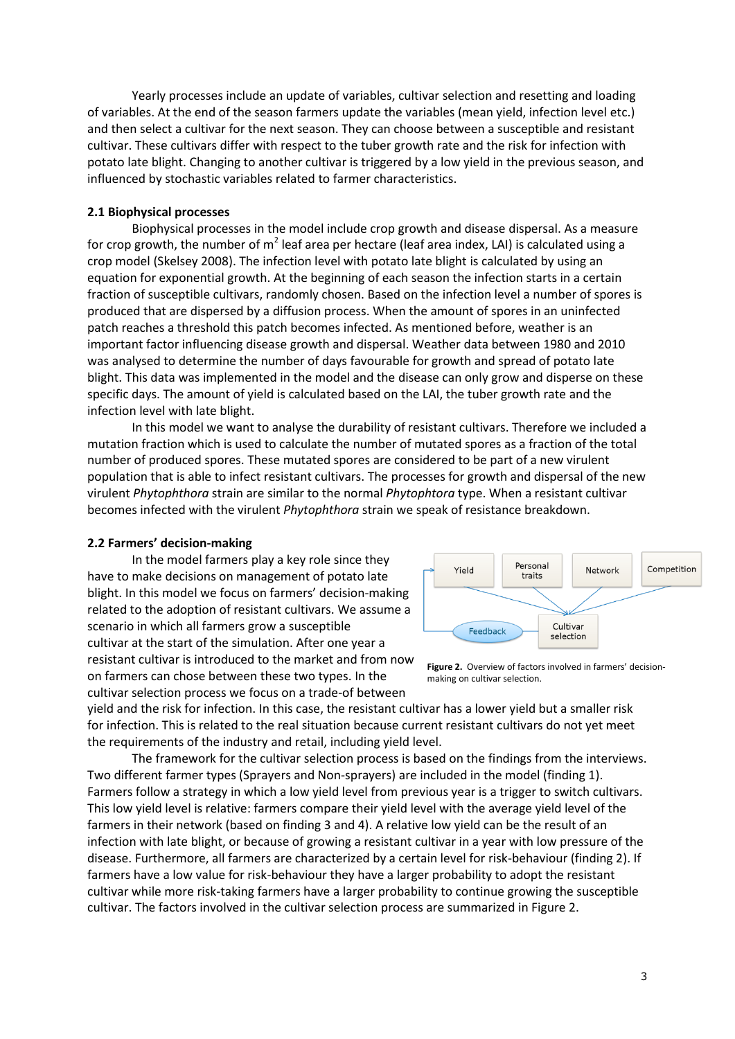Yearly processes include an update of variables, cultivar selection and resetting and loading of variables. At the end of the season farmers update the variables (mean yield, infection level etc.) and then select a cultivar for the next season. They can choose between a susceptible and resistant cultivar. These cultivars differ with respect to the tuber growth rate and the risk for infection with potato late blight. Changing to another cultivar is triggered by a low yield in the previous season, and influenced by stochastic variables related to farmer characteristics.

## **2.1 Biophysical processes**

Biophysical processes in the model include crop growth and disease dispersal. As a measure for crop growth, the number of m<sup>2</sup> leaf area per hectare (leaf area index, LAI) is calculated using a crop model (Skelsey 2008). The infection level with potato late blight is calculated by using an equation for exponential growth. At the beginning of each season the infection starts in a certain fraction of susceptible cultivars, randomly chosen. Based on the infection level a number of spores is produced that are dispersed by a diffusion process. When the amount of spores in an uninfected patch reaches a threshold this patch becomes infected. As mentioned before, weather is an important factor influencing disease growth and dispersal. Weather data between 1980 and 2010 was analysed to determine the number of days favourable for growth and spread of potato late blight. This data was implemented in the model and the disease can only grow and disperse on these specific days. The amount of yield is calculated based on the LAI, the tuber growth rate and the infection level with late blight.

In this model we want to analyse the durability of resistant cultivars. Therefore we included a mutation fraction which is used to calculate the number of mutated spores as a fraction of the total number of produced spores. These mutated spores are considered to be part of a new virulent population that is able to infect resistant cultivars. The processes for growth and dispersal of the new virulent *Phytophthora* strain are similar to the normal *Phytophtora* type. When a resistant cultivar becomes infected with the virulent *Phytophthora* strain we speak of resistance breakdown.

### **2.2 Farmers' decision-making**

In the model farmers play a key role since they have to make decisions on management of potato late blight. In this model we focus on farmers' decision-making related to the adoption of resistant cultivars. We assume a scenario in which all farmers grow a susceptible cultivar at the start of the simulation. After one year a resistant cultivar is introduced to the market and from now on farmers can chose between these two types. In the cultivar selection process we focus on a trade-of between



**Figure 2.** Overview of factors involved in farmers' decisionmaking on cultivar selection.

yield and the risk for infection. In this case, the resistant cultivar has a lower yield but a smaller risk for infection. This is related to the real situation because current resistant cultivars do not yet meet the requirements of the industry and retail, including yield level.

The framework for the cultivar selection process is based on the findings from the interviews. Two different farmer types (Sprayers and Non-sprayers) are included in the model (finding 1). Farmers follow a strategy in which a low yield level from previous year is a trigger to switch cultivars. This low yield level is relative: farmers compare their yield level with the average yield level of the farmers in their network (based on finding 3 and 4). A relative low yield can be the result of an infection with late blight, or because of growing a resistant cultivar in a year with low pressure of the disease. Furthermore, all farmers are characterized by a certain level for risk-behaviour (finding 2). If farmers have a low value for risk-behaviour they have a larger probability to adopt the resistant cultivar while more risk-taking farmers have a larger probability to continue growing the susceptible cultivar. The factors involved in the cultivar selection process are summarized in Figure 2.